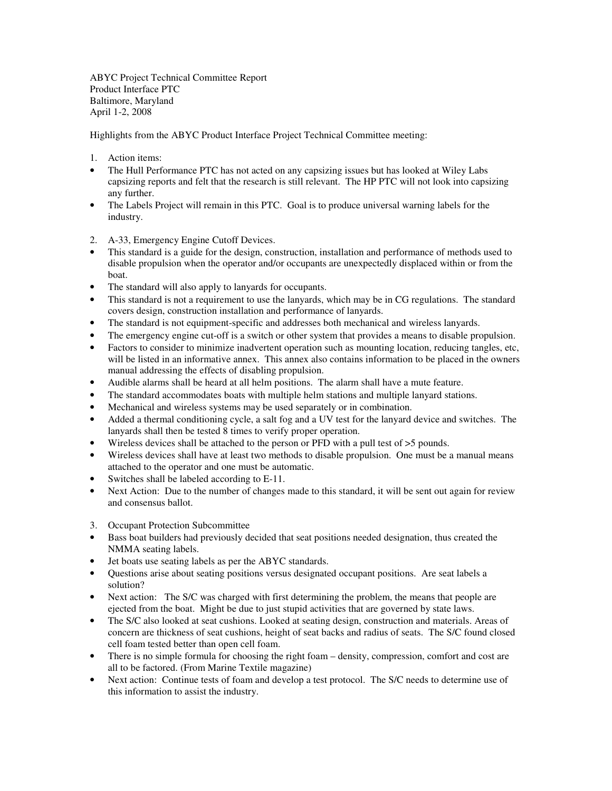ABYC Project Technical Committee Report Product Interface PTC Baltimore, Maryland April 1-2, 2008

Highlights from the ABYC Product Interface Project Technical Committee meeting:

- 1. Action items:
- The Hull Performance PTC has not acted on any capsizing issues but has looked at Wiley Labs capsizing reports and felt that the research is still relevant. The HP PTC will not look into capsizing any further.
- The Labels Project will remain in this PTC. Goal is to produce universal warning labels for the industry.
- 2. A-33, Emergency Engine Cutoff Devices.
- This standard is a guide for the design, construction, installation and performance of methods used to disable propulsion when the operator and/or occupants are unexpectedly displaced within or from the boat.
- The standard will also apply to lanyards for occupants.
- This standard is not a requirement to use the lanyards, which may be in CG regulations. The standard covers design, construction installation and performance of lanyards.
- The standard is not equipment-specific and addresses both mechanical and wireless lanyards.
- The emergency engine cut-off is a switch or other system that provides a means to disable propulsion.
- Factors to consider to minimize inadvertent operation such as mounting location, reducing tangles, etc, will be listed in an informative annex. This annex also contains information to be placed in the owners manual addressing the effects of disabling propulsion.
- Audible alarms shall be heard at all helm positions. The alarm shall have a mute feature.
- The standard accommodates boats with multiple helm stations and multiple lanyard stations.
- Mechanical and wireless systems may be used separately or in combination.
- Added a thermal conditioning cycle, a salt fog and a UV test for the lanyard device and switches. The lanyards shall then be tested 8 times to verify proper operation.
- Wireless devices shall be attached to the person or PFD with a pull test of  $>5$  pounds.
- Wireless devices shall have at least two methods to disable propulsion. One must be a manual means attached to the operator and one must be automatic.
- Switches shall be labeled according to E-11.
- Next Action: Due to the number of changes made to this standard, it will be sent out again for review and consensus ballot.
- 3. Occupant Protection Subcommittee
- Bass boat builders had previously decided that seat positions needed designation, thus created the NMMA seating labels.
- Jet boats use seating labels as per the ABYC standards.
- Questions arise about seating positions versus designated occupant positions. Are seat labels a solution?
- Next action: The S/C was charged with first determining the problem, the means that people are ejected from the boat. Might be due to just stupid activities that are governed by state laws.
- The S/C also looked at seat cushions. Looked at seating design, construction and materials. Areas of concern are thickness of seat cushions, height of seat backs and radius of seats. The S/C found closed cell foam tested better than open cell foam.
- There is no simple formula for choosing the right foam density, compression, comfort and cost are all to be factored. (From Marine Textile magazine)
- Next action: Continue tests of foam and develop a test protocol. The S/C needs to determine use of this information to assist the industry.